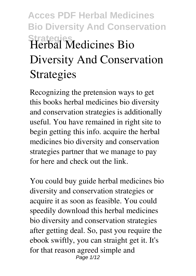# **Acces PDF Herbal Medicines Bio Diversity And Conservation Strategies Herbal Medicines Bio Diversity And Conservation Strategies**

Recognizing the pretension ways to get this books **herbal medicines bio diversity and conservation strategies** is additionally useful. You have remained in right site to begin getting this info. acquire the herbal medicines bio diversity and conservation strategies partner that we manage to pay for here and check out the link.

You could buy guide herbal medicines bio diversity and conservation strategies or acquire it as soon as feasible. You could speedily download this herbal medicines bio diversity and conservation strategies after getting deal. So, past you require the ebook swiftly, you can straight get it. It's for that reason agreed simple and Page  $1/12$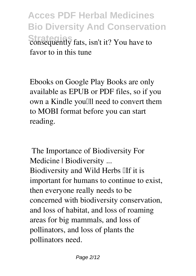**Acces PDF Herbal Medicines Bio Diversity And Conservation Strategies** consequently fats, isn't it? You have to favor to in this tune

Ebooks on Google Play Books are only available as EPUB or PDF files, so if you own a Kindle you'll need to convert them to MOBI format before you can start reading.

**The Importance of Biodiversity For Medicine | Biodiversity ...** Biodiversity and Wild Herbs IIf it is important for humans to continue to exist, then everyone really needs to be concerned with biodiversity conservation, and loss of habitat, and loss of roaming areas for big mammals, and loss of pollinators, and loss of plants the pollinators need.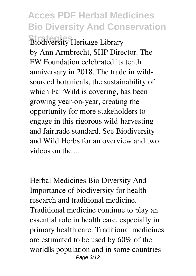## **Acces PDF Herbal Medicines Bio Diversity And Conservation**

**Strategies Biodiversity Heritage Library** by Ann Armbrecht, SHP Director. The FW Foundation celebrated its tenth anniversary in 2018. The trade in wildsourced botanicals, the sustainability of which FairWild is covering, has been growing year-on-year, creating the opportunity for more stakeholders to engage in this rigorous wild-harvesting and fairtrade standard. See Biodiversity and Wild Herbs for an overview and two videos on the ...

**Herbal Medicines Bio Diversity And** Importance of biodiversity for health research and traditional medicine. Traditional medicine continue to play an essential role in health care, especially in primary health care. Traditional medicines are estimated to be used by 60% of the world's population and in some countries Page 3/12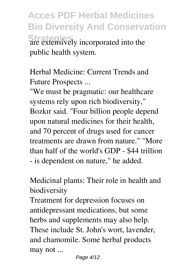**Acces PDF Herbal Medicines Bio Diversity And Conservation Strategies** are extensively incorporated into the public health system.

**Herbal Medicine: Current Trends and Future Prospects ...**

"We must be pragmatic: our healthcare systems rely upon rich biodiversity," Bozkır said. "Four billion people depend upon natural medicines for their health, and 70 percent of drugs used for cancer treatments are drawn from nature." "More than half of the world's GDP - \$44 trillion - is dependent on nature," he added.

**Medicinal plants: Their role in health and biodiversity**

Treatment for depression focuses on antidepressant medications, but some herbs and supplements may also help. These include St. John's wort, lavender, and chamomile. Some herbal products may not ...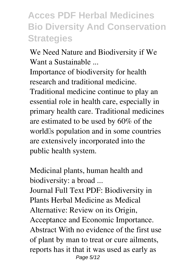#### **Acces PDF Herbal Medicines Bio Diversity And Conservation Strategies**

**We Need Nature and Biodiversity if We Want a Sustainable ...**

Importance of biodiversity for health research and traditional medicine. Traditional medicine continue to play an essential role in health care, especially in primary health care. Traditional medicines are estimated to be used by 60% of the world's population and in some countries are extensively incorporated into the public health system.

**Medicinal plants, human health and biodiversity: a broad ...** Journal Full Text PDF: Biodiversity in Plants Herbal Medicine as Medical Alternative: Review on its Origin, Acceptance and Economic Importance. Abstract With no evidence of the first use of plant by man to treat or cure ailments, reports has it that it was used as early as Page 5/12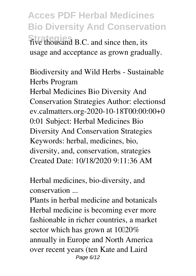**Acces PDF Herbal Medicines Bio Diversity And Conservation Strategies** five thousand B.C. and since then, its usage and acceptance as grown gradually.

**Biodiversity and Wild Herbs - Sustainable Herbs Program** Herbal Medicines Bio Diversity And Conservation Strategies Author: electionsd ev.calmatters.org-2020-10-18T00:00:00+0 0:01 Subject: Herbal Medicines Bio Diversity And Conservation Strategies Keywords: herbal, medicines, bio, diversity, and, conservation, strategies Created Date: 10/18/2020 9:11:36 AM

**Herbal medicines, bio-diversity, and conservation ...**

Plants in herbal medicine and botanicals Herbal medicine is becoming ever more fashionable in richer countries, a market sector which has grown at  $10\overline{120\%}$ annually in Europe and North America over recent years (ten Kate and Laird Page 6/12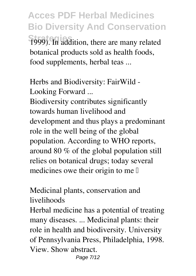**Acces PDF Herbal Medicines Bio Diversity And Conservation Strategies** 1999). In addition, there are many related botanical products sold as health foods, food supplements, herbal teas ...

**Herbs and Biodiversity: FairWild - Looking Forward ...**

Biodiversity contributes significantly towards human livelihood and development and thus plays a predominant role in the well being of the global population. According to WHO reports, around 80 % of the global population still relies on botanical drugs; today several medicines owe their origin to me  $\mathbb I$ 

**Medicinal plants, conservation and livelihoods**

Herbal medicine has a potential of treating many diseases. ... Medicinal plants: their role in health and biodiversity. University of Pennsylvania Press, Philadelphia, 1998. View. Show abstract.

Page 7/12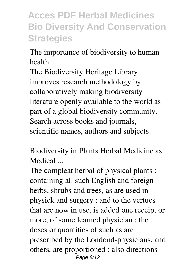### **Acces PDF Herbal Medicines Bio Diversity And Conservation Strategies**

**The importance of biodiversity to human health**

The Biodiversity Heritage Library improves research methodology by collaboratively making biodiversity literature openly available to the world as part of a global biodiversity community. Search across books and journals, scientific names, authors and subjects

**Biodiversity in Plants Herbal Medicine as Medical ...**

The compleat herbal of physical plants : containing all such English and foreign herbs, shrubs and trees, as are used in physick and surgery : and to the vertues that are now in use, is added one receipt or more, of some learned physician : the doses or quantities of such as are prescribed by the Londond-physicians, and others, are proportioned : also directions Page 8/12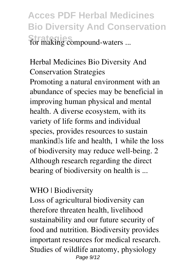**Acces PDF Herbal Medicines Bio Diversity And Conservation Strategies** for making compound-waters ...

**Herbal Medicines Bio Diversity And Conservation Strategies** Promoting a natural environment with an abundance of species may be beneficial in improving human physical and mental health. A diverse ecosystem, with its variety of life forms and individual species, provides resources to sustain mankind<sup>'</sup>s life and health, 1 while the loss of biodiversity may reduce well-being. 2 Although research regarding the direct bearing of biodiversity on health is ...

#### **WHO | Biodiversity**

Loss of agricultural biodiversity can therefore threaten health, livelihood sustainability and our future security of food and nutrition. Biodiversity provides important resources for medical research. Studies of wildlife anatomy, physiology Page  $9/12$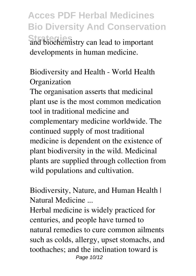**Acces PDF Herbal Medicines Bio Diversity And Conservation Strategies** and biochemistry can lead to important developments in human medicine.

**Biodiversity and Health - World Health Organization**

The organisation asserts that medicinal plant use is the most common medication tool in traditional medicine and complementary medicine worldwide. The continued supply of most traditional medicine is dependent on the existence of plant biodiversity in the wild. Medicinal plants are supplied through collection from wild populations and cultivation.

**Biodiversity, Nature, and Human Health | Natural Medicine ...**

Herbal medicine is widely practiced for centuries, and people have turned to natural remedies to cure common ailments such as colds, allergy, upset stomachs, and toothaches; and the inclination toward is Page 10/12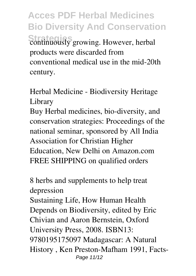**Acces PDF Herbal Medicines Bio Diversity And Conservation Strategies** continuously growing. However, herbal products were discarded from conventional medical use in the mid-20th century.

**Herbal Medicine - Biodiversity Heritage Library**

Buy Herbal medicines, bio-diversity, and conservation strategies: Proceedings of the national seminar, sponsored by All India Association for Christian Higher Education, New Delhi on Amazon.com FREE SHIPPING on qualified orders

**8 herbs and supplements to help treat depression** Sustaining Life, How Human Health Depends on Biodiversity, edited by Eric

Chivian and Aaron Bernstein, Oxford University Press, 2008. ISBN13: 9780195175097 Madagascar: A Natural History , Ken Preston-Mafham 1991, Facts-Page 11/12